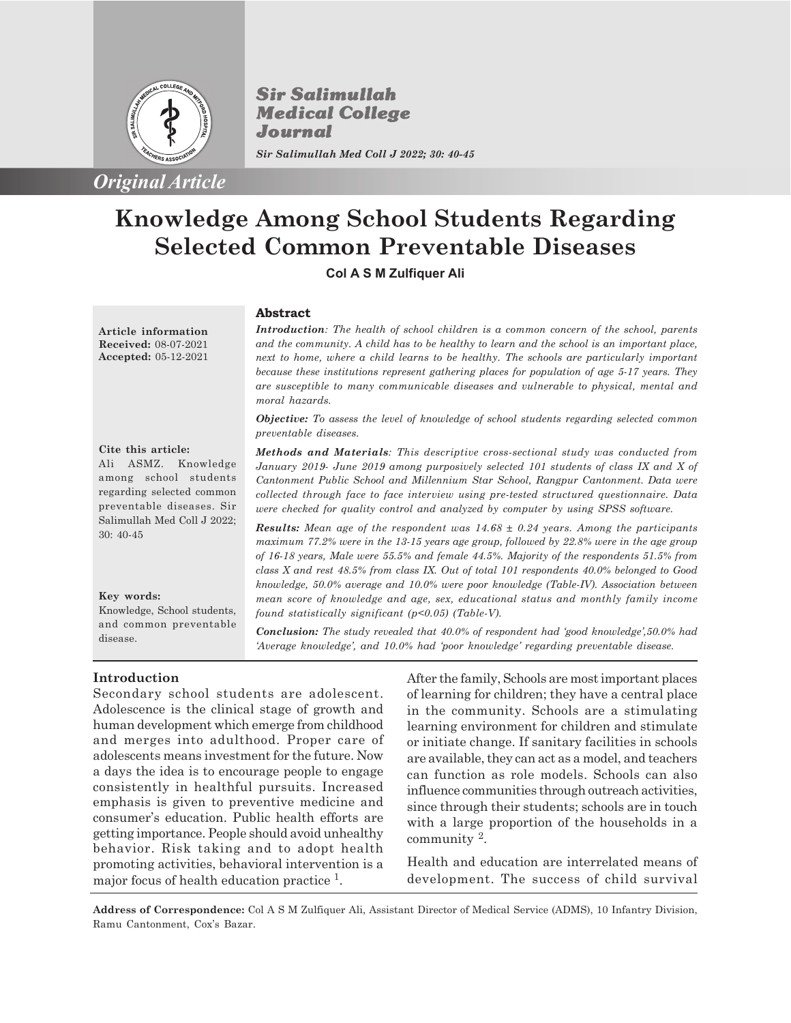

*Original Article*

**Sir Salimullah Medical College** Journal *Sir Salimullah Med Coll J 2022; 30: 40-45*

# **Knowledge Among School Students Regarding Selected Common Preventable Diseases**

**Col A S M Zulfiquer Ali**

# **Abstract**

**Article information Received:** 08-07-2021 **Accepted:** 05-12-2021 *Introduction: The health of school children is a common concern of the school, parents and the community. A child has to be healthy to learn and the school is an important place, next to home, where a child learns to be healthy. The schools are particularly important because these institutions represent gathering places for population of age 5-17 years. They are susceptible to many communicable diseases and vulnerable to physical, mental and moral hazards.*

*Objective: To assess the level of knowledge of school students regarding selected common preventable diseases.*

**Cite this article:** Ali ASMZ. Knowledge among school students regarding selected common preventable diseases. Sir Salimullah Med Coll J 2022; 30: 40-45

# **Key words:**

Knowledge, School students, and common preventable disease.

**Introduction**

Secondary school students are adolescent. Adolescence is the clinical stage of growth and human development which emerge from childhood and merges into adulthood. Proper care of adolescents means investment for the future. Now a days the idea is to encourage people to engage consistently in healthful pursuits. Increased emphasis is given to preventive medicine and consumer's education. Public health efforts are getting importance. People should avoid unhealthy behavior. Risk taking and to adopt health promoting activities, behavioral intervention is a major focus of health education practice<sup>1</sup>.

*Methods and Materials: This descriptive cross-sectional study was conducted from January 2019- June 2019 among purposively selected 101 students of class IX and X of Cantonment Public School and Millennium Star School, Rangpur Cantonment. Data were collected through face to face interview using pre-tested structured questionnaire. Data were checked for quality control and analyzed by computer by using SPSS software.*

*Results: Mean age of the respondent was 14.68 ± 0.24 years. Among the participants maximum 77.2% were in the 13-15 years age group, followed by 22.8% were in the age group of 16-18 years, Male were 55.5% and female 44.5%. Majority of the respondents 51.5% from class X and rest 48.5% from class IX. Out of total 101 respondents 40.0% belonged to Good knowledge, 50.0% average and 10.0% were poor knowledge (Table-IV). Association between mean score of knowledge and age, sex, educational status and monthly family income found statistically significant (p<0.05) (Table-V).*

*Conclusion: The study revealed that 40.0% of respondent had 'good knowledge',50.0% had 'Average knowledge', and 10.0% had 'poor knowledge' regarding preventable disease.*

> After the family, Schools are most important places of learning for children; they have a central place in the community. Schools are a stimulating learning environment for children and stimulate or initiate change. If sanitary facilities in schools are available, they can act as a model, and teachers can function as role models. Schools can also influence communities through outreach activities, since through their students; schools are in touch with a large proportion of the households in a community <sup>2</sup> .

> Health and education are interrelated means of development. The success of child survival

**Address of Correspondence:** Col A S M Zulfiquer Ali, Assistant Director of Medical Service (ADMS), 10 Infantry Division, Ramu Cantonment, Cox's Bazar.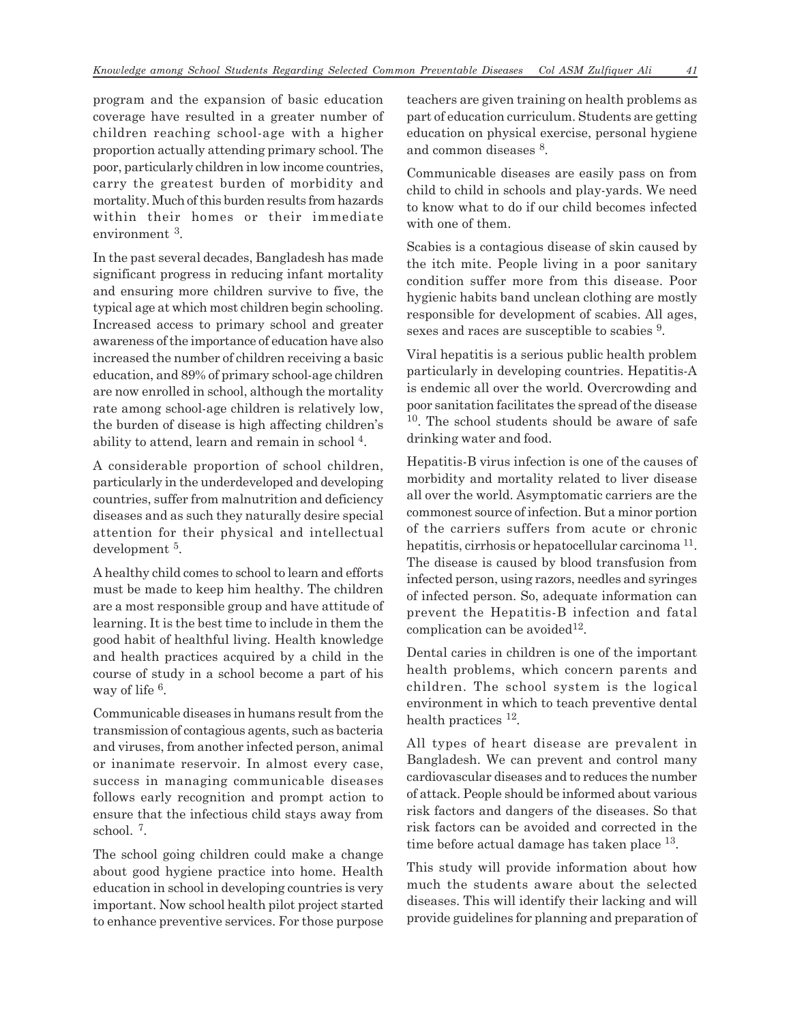program and the expansion of basic education coverage have resulted in a greater number of children reaching school-age with a higher proportion actually attending primary school. The poor, particularly children in low income countries, carry the greatest burden of morbidity and mortality. Much of this burden results from hazards within their homes or their immediate environment 3.

In the past several decades, Bangladesh has made significant progress in reducing infant mortality and ensuring more children survive to five, the typical age at which most children begin schooling. Increased access to primary school and greater awareness of the importance of education have also increased the number of children receiving a basic education, and 89% of primary school-age children are now enrolled in school, although the mortality rate among school-age children is relatively low, the burden of disease is high affecting children's ability to attend, learn and remain in school<sup>4</sup>.

A considerable proportion of school children, particularly in the underdeveloped and developing countries, suffer from malnutrition and deficiency diseases and as such they naturally desire special attention for their physical and intellectual development <sup>5</sup>.

A healthy child comes to school to learn and efforts must be made to keep him healthy. The children are a most responsible group and have attitude of learning. It is the best time to include in them the good habit of healthful living. Health knowledge and health practices acquired by a child in the course of study in a school become a part of his way of life <sup>6</sup>.

Communicable diseases in humans result from the transmission of contagious agents, such as bacteria and viruses, from another infected person, animal or inanimate reservoir. In almost every case, success in managing communicable diseases follows early recognition and prompt action to ensure that the infectious child stays away from school. <sup>7</sup> .

The school going children could make a change about good hygiene practice into home. Health education in school in developing countries is very important. Now school health pilot project started to enhance preventive services. For those purpose teachers are given training on health problems as part of education curriculum. Students are getting education on physical exercise, personal hygiene and common diseases  $8$ .

Communicable diseases are easily pass on from child to child in schools and play-yards. We need to know what to do if our child becomes infected with one of them.

Scabies is a contagious disease of skin caused by the itch mite. People living in a poor sanitary condition suffer more from this disease. Poor hygienic habits band unclean clothing are mostly responsible for development of scabies. All ages, sexes and races are susceptible to scabies <sup>9</sup>.

Viral hepatitis is a serious public health problem particularly in developing countries. Hepatitis-A is endemic all over the world. Overcrowding and poor sanitation facilitates the spread of the disease <sup>10</sup>. The school students should be aware of safe drinking water and food.

Hepatitis-B virus infection is one of the causes of morbidity and mortality related to liver disease all over the world. Asymptomatic carriers are the commonest source of infection. But a minor portion of the carriers suffers from acute or chronic hepatitis, cirrhosis or hepatocellular carcinoma<sup>11</sup>. The disease is caused by blood transfusion from infected person, using razors, needles and syringes of infected person. So, adequate information can prevent the Hepatitis-B infection and fatal complication can be avoided<sup>12</sup>.

Dental caries in children is one of the important health problems, which concern parents and children. The school system is the logical environment in which to teach preventive dental health practices <sup>12</sup>.

All types of heart disease are prevalent in Bangladesh. We can prevent and control many cardiovascular diseases and to reduces the number of attack. People should be informed about various risk factors and dangers of the diseases. So that risk factors can be avoided and corrected in the time before actual damage has taken place <sup>13</sup>.

This study will provide information about how much the students aware about the selected diseases. This will identify their lacking and will provide guidelines for planning and preparation of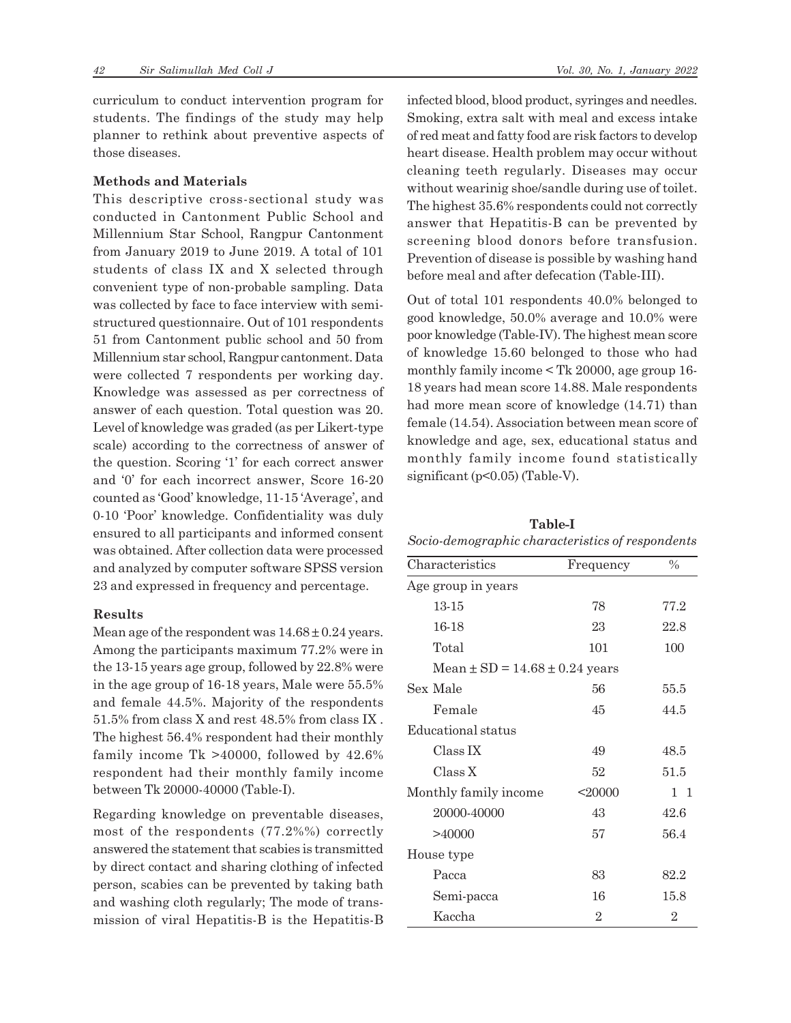curriculum to conduct intervention program for students. The findings of the study may help planner to rethink about preventive aspects of those diseases.

## **Methods and Materials**

This descriptive cross-sectional study was conducted in Cantonment Public School and Millennium Star School, Rangpur Cantonment from January 2019 to June 2019. A total of 101 students of class IX and X selected through convenient type of non-probable sampling. Data was collected by face to face interview with semistructured questionnaire. Out of 101 respondents 51 from Cantonment public school and 50 from Millennium star school, Rangpur cantonment. Data were collected 7 respondents per working day. Knowledge was assessed as per correctness of answer of each question. Total question was 20. Level of knowledge was graded (as per Likert-type scale) according to the correctness of answer of the question. Scoring '1' for each correct answer and '0' for each incorrect answer, Score 16-20 counted as 'Good' knowledge, 11-15 'Average', and 0-10 'Poor' knowledge. Confidentiality was duly ensured to all participants and informed consent was obtained. After collection data were processed and analyzed by computer software SPSS version 23 and expressed in frequency and percentage.

#### **Results**

Mean age of the respondent was  $14.68 \pm 0.24$  years. Among the participants maximum 77.2% were in the 13-15 years age group, followed by 22.8% were in the age group of 16-18 years, Male were 55.5% and female 44.5%. Majority of the respondents 51.5% from class X and rest 48.5% from class IX . The highest 56.4% respondent had their monthly family income Tk >40000, followed by 42.6% respondent had their monthly family income between Tk 20000-40000 (Table-I).

Regarding knowledge on preventable diseases, most of the respondents (77.2%%) correctly answered the statement that scabies is transmitted by direct contact and sharing clothing of infected person, scabies can be prevented by taking bath and washing cloth regularly; The mode of transmission of viral Hepatitis-B is the Hepatitis-B infected blood, blood product, syringes and needles. Smoking, extra salt with meal and excess intake of red meat and fatty food are risk factors to develop heart disease. Health problem may occur without cleaning teeth regularly. Diseases may occur without wearinig shoe/sandle during use of toilet. The highest 35.6% respondents could not correctly answer that Hepatitis-B can be prevented by screening blood donors before transfusion. Prevention of disease is possible by washing hand before meal and after defecation (Table-III).

Out of total 101 respondents 40.0% belonged to good knowledge, 50.0% average and 10.0% were poor knowledge (Table-IV). The highest mean score of knowledge 15.60 belonged to those who had monthly family income < Tk 20000, age group 16- 18 years had mean score 14.88. Male respondents had more mean score of knowledge (14.71) than female (14.54). Association between mean score of knowledge and age, sex, educational status and monthly family income found statistically significant (p<0.05) (Table-V).

| Table-I                                          |
|--------------------------------------------------|
| Socio-demographic characteristics of respondents |

| Characteristics                        | Frequency      | $\frac{0}{0}$  |  |  |  |  |
|----------------------------------------|----------------|----------------|--|--|--|--|
| Age group in years                     |                |                |  |  |  |  |
| 13-15                                  | 78             | 77.2           |  |  |  |  |
| 16-18                                  | 23             | 22.8           |  |  |  |  |
| Total                                  | 101            | 100            |  |  |  |  |
| Mean $\pm$ SD = 14.68 $\pm$ 0.24 years |                |                |  |  |  |  |
| Sex Male                               | 56             | 55.5           |  |  |  |  |
| Female                                 | 45             | 44.5           |  |  |  |  |
| Educational status                     |                |                |  |  |  |  |
| Class <sub>IX</sub>                    | 49             | 48.5           |  |  |  |  |
| Class X                                | 52             | 51.5           |  |  |  |  |
| Monthly family income                  | $<$ 20000      | $1\quad1$      |  |  |  |  |
| 20000-40000                            | 43             | 42.6           |  |  |  |  |
| >40000                                 | 57             | 56.4           |  |  |  |  |
| House type                             |                |                |  |  |  |  |
| Pacca                                  | 83             | 82.2           |  |  |  |  |
| Semi-pacca                             | 16             | 15.8           |  |  |  |  |
| Kaccha                                 | $\overline{2}$ | $\overline{2}$ |  |  |  |  |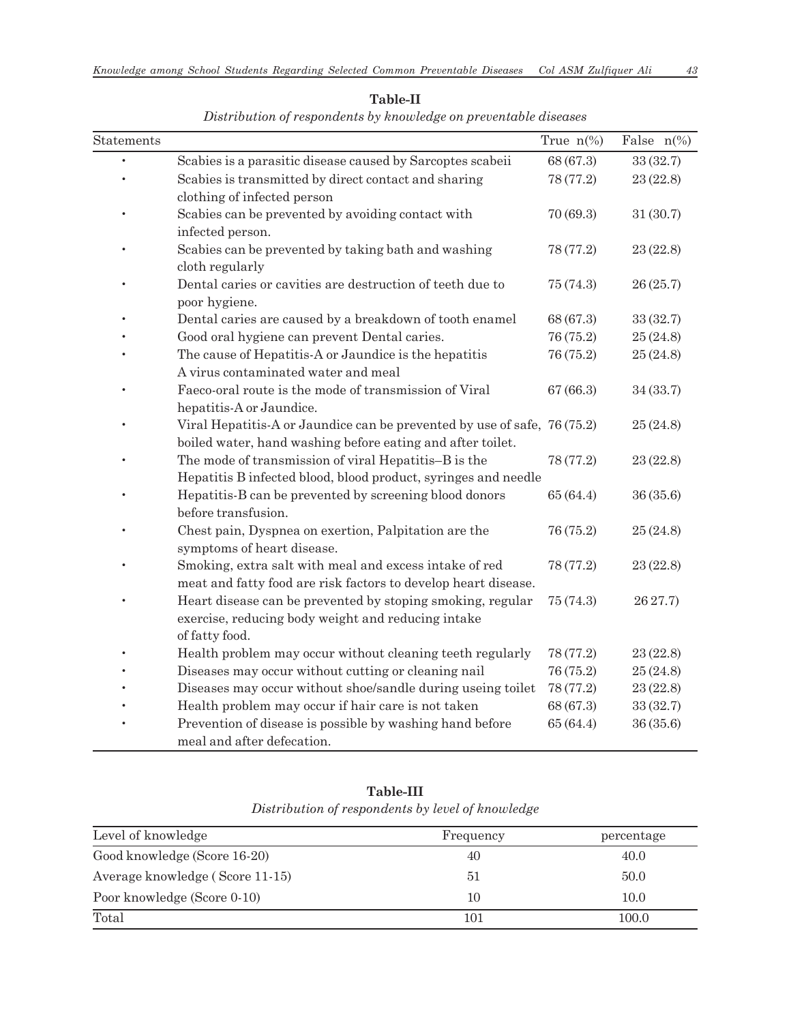| Statements |                                                                                                                                        | True $n\%$ | False $n\frac{\%}{\%}$ |
|------------|----------------------------------------------------------------------------------------------------------------------------------------|------------|------------------------|
|            | Scabies is a parasitic disease caused by Sarcoptes scabeii                                                                             | 68 (67.3)  | 33 (32.7)              |
|            | Scabies is transmitted by direct contact and sharing<br>clothing of infected person                                                    | 78 (77.2)  | 23(22.8)               |
|            | Scabies can be prevented by avoiding contact with<br>infected person.                                                                  | 70 (69.3)  | 31(30.7)               |
|            | Scabies can be prevented by taking bath and washing<br>cloth regularly                                                                 | 78 (77.2)  | 23 (22.8)              |
|            | Dental caries or cavities are destruction of teeth due to<br>poor hygiene.                                                             | 75 (74.3)  | 26(25.7)               |
|            | Dental caries are caused by a breakdown of tooth enamel                                                                                | 68 (67.3)  | 33(32.7)               |
|            | Good oral hygiene can prevent Dental caries.                                                                                           | 76 (75.2)  | 25(24.8)               |
|            | The cause of Hepatitis-A or Jaundice is the hepatitis<br>A virus contaminated water and meal                                           | 76 (75.2)  | 25(24.8)               |
|            | Faeco-oral route is the mode of transmission of Viral<br>hepatitis-A or Jaundice.                                                      | 67(66.3)   | 34 (33.7)              |
|            | Viral Hepatitis-A or Jaundice can be prevented by use of safe, 76 (75.2)<br>boiled water, hand washing before eating and after toilet. |            | 25(24.8)               |
|            | The mode of transmission of viral Hepatitis-B is the<br>Hepatitis B infected blood, blood product, syringes and needle                 | 78 (77.2)  | 23 (22.8)              |
|            | Hepatitis-B can be prevented by screening blood donors<br>before transfusion.                                                          | 65 (64.4)  | 36(35.6)               |
|            | Chest pain, Dyspnea on exertion, Palpitation are the<br>symptoms of heart disease.                                                     | 76 (75.2)  | 25(24.8)               |
|            | Smoking, extra salt with meal and excess intake of red<br>meat and fatty food are risk factors to develop heart disease.               | 78 (77.2)  | 23 (22.8)              |
|            | Heart disease can be prevented by stoping smoking, regular<br>exercise, reducing body weight and reducing intake<br>of fatty food.     | 75 (74.3)  | 26 27.7)               |
|            | Health problem may occur without cleaning teeth regularly                                                                              | 78 (77.2)  | 23 (22.8)              |
|            | Diseases may occur without cutting or cleaning nail                                                                                    | 76 (75.2)  | 25(24.8)               |
|            | Diseases may occur without shoe/sandle during useing toilet                                                                            | 78 (77.2)  | 23(22.8)               |
|            | Health problem may occur if hair care is not taken                                                                                     | 68 (67.3)  | 33(32.7)               |
|            | Prevention of disease is possible by washing hand before<br>meal and after defecation.                                                 | 65 (64.4)  | 36(35.6)               |

**Table-II**

*Distribution of respondents by knowledge on preventable diseases*

**Table-III** *Distribution of respondents by level of knowledge*

| Level of knowledge              | Frequency | percentage |
|---------------------------------|-----------|------------|
| Good knowledge (Score 16-20)    | 40        | 40.0       |
| Average knowledge (Score 11-15) | 51        | 50.0       |
| Poor knowledge (Score 0-10)     | 10        | 10.0       |
| Total                           | 101       | 100.0      |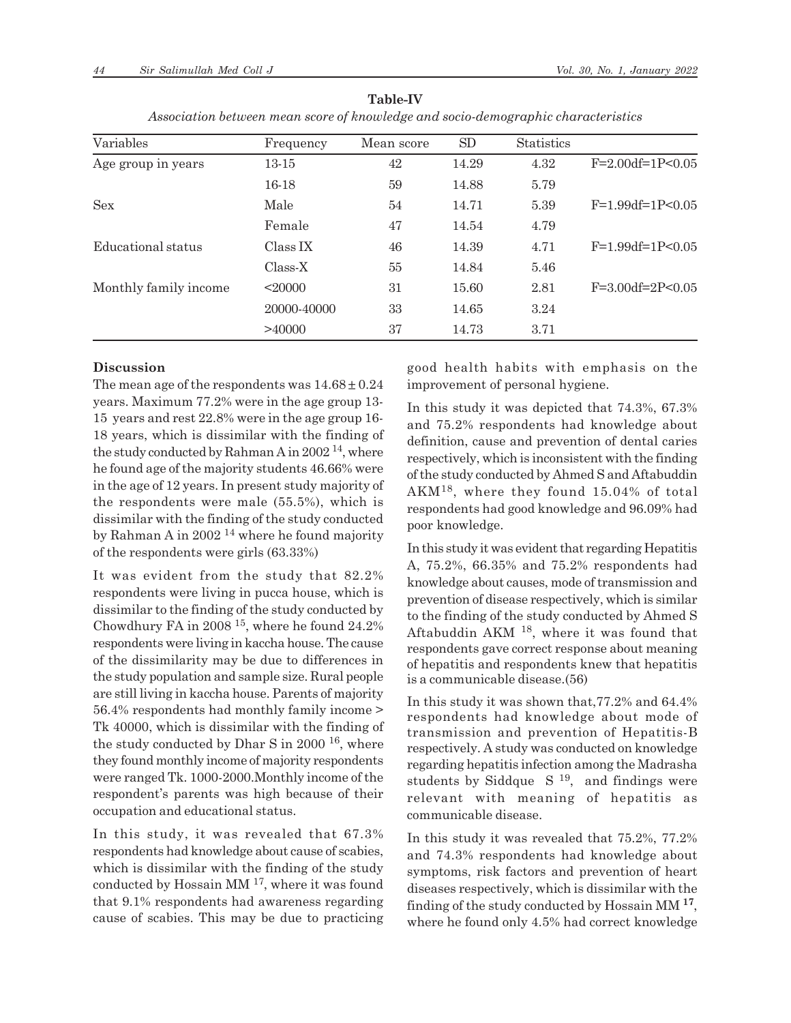| Variables             | Frequency   | Mean score | SD    | <b>Statistics</b> |                           |
|-----------------------|-------------|------------|-------|-------------------|---------------------------|
| Age group in years    | 13-15       | 42         | 14.29 | 4.32              | $F=2.00df=1P<0.05$        |
|                       | $16-18$     | 59         | 14.88 | 5.79              |                           |
| <b>Sex</b>            | Male        | 54         | 14.71 | 5.39              | $F=1.99df=1P<0.05$        |
|                       | Female      | 47         | 14.54 | 4.79              |                           |
| Educational status    | Class IX    | 46         | 14.39 | 4.71              | $F=1.99df=1P<0.05$        |
|                       | Class-X     | 55         | 14.84 | 5.46              |                           |
| Monthly family income | < 20000     | 31         | 15.60 | 2.81              | $F = 3.00 df = 2P < 0.05$ |
|                       | 20000-40000 | 33         | 14.65 | 3.24              |                           |
|                       | >40000      | 37         | 14.73 | 3.71              |                           |

**Table-IV** *Association between mean score of knowledge and socio-demographic characteristics*

#### **Discussion**

The mean age of the respondents was  $14.68 \pm 0.24$ years. Maximum 77.2% were in the age group 13- 15 years and rest 22.8% were in the age group 16- 18 years, which is dissimilar with the finding of the study conducted by Rahman A in  $2002^{14}$ , where he found age of the majority students 46.66% were in the age of 12 years. In present study majority of the respondents were male (55.5%), which is dissimilar with the finding of the study conducted by Rahman A in 2002 14 where he found majority of the respondents were girls (63.33%)

It was evident from the study that 82.2% respondents were living in pucca house, which is dissimilar to the finding of the study conducted by Chowdhury FA in 2008 15, where he found 24.2% respondents were living in kaccha house. The cause of the dissimilarity may be due to differences in the study population and sample size. Rural people are still living in kaccha house. Parents of majority 56.4% respondents had monthly family income > Tk 40000, which is dissimilar with the finding of the study conducted by Dhar S in  $2000$  <sup>16</sup>, where they found monthly income of majority respondents were ranged Tk. 1000-2000.Monthly income of the respondent's parents was high because of their occupation and educational status.

In this study, it was revealed that 67.3% respondents had knowledge about cause of scabies, which is dissimilar with the finding of the study conducted by Hossain MM 17, where it was found that 9.1% respondents had awareness regarding cause of scabies. This may be due to practicing good health habits with emphasis on the improvement of personal hygiene.

In this study it was depicted that 74.3%, 67.3% and 75.2% respondents had knowledge about definition, cause and prevention of dental caries respectively, which is inconsistent with the finding of the study conducted by Ahmed S and Aftabuddin AKM18, where they found 15.04% of total respondents had good knowledge and 96.09% had poor knowledge.

In this study it was evident that regarding Hepatitis A, 75.2%, 66.35% and 75.2% respondents had knowledge about causes, mode of transmission and prevention of disease respectively, which is similar to the finding of the study conducted by Ahmed S Aftabuddin AKM 18, where it was found that respondents gave correct response about meaning of hepatitis and respondents knew that hepatitis is a communicable disease.(56)

In this study it was shown that,77.2% and 64.4% respondents had knowledge about mode of transmission and prevention of Hepatitis-B respectively. A study was conducted on knowledge regarding hepatitis infection among the Madrasha students by Siddque  $S<sup>19</sup>$ , and findings were relevant with meaning of hepatitis as communicable disease.

In this study it was revealed that 75.2%, 77.2% and 74.3% respondents had knowledge about symptoms, risk factors and prevention of heart diseases respectively, which is dissimilar with the finding of the study conducted by Hossain MM **<sup>17</sup>** , where he found only 4.5% had correct knowledge